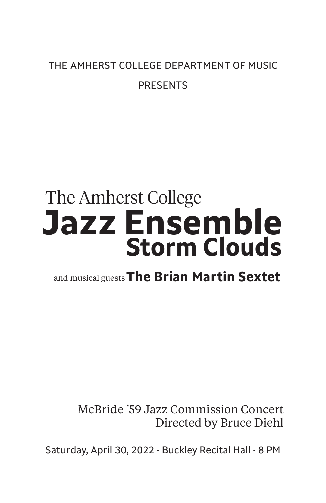# THE AMHERST COLLEGE DEPARTMENT OF MUSIC PRESENTS

# **Jazz Ensemble** The Amherst College **Storm Clouds**

and musical guests**The Brian Martin Sextet**

 McBride '59 Jazz Commission Concert Directed by Bruce Diehl

Saturday, April 30, 2022 • Buckley Recital Hall • 8 PM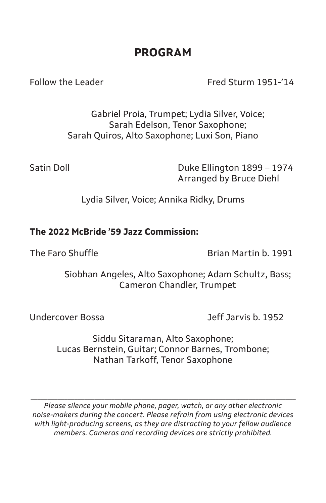# **PROGRAM**

Follow the Leader Fred Sturm 1951-'14

Gabriel Proia, Trumpet; Lydia Silver, Voice; Sarah Edelson, Tenor Saxophone; Sarah Quiros, Alto Saxophone; Luxi Son, Piano

Satin Doll **Duke Ellington 1899 – 1974** Arranged by Bruce Diehl

Lydia Silver, Voice; Annika Ridky, Drums

### **The 2022 McBride '59 Jazz Commission:**

The Faro Shuffle **Brian Martin b. 1991** 

Siobhan Angeles, Alto Saxophone; Adam Schultz, Bass; Cameron Chandler, Trumpet

Undercover Bossa Jeff Jarvis b. 1952

Siddu Sitaraman, Alto Saxophone; Lucas Bernstein, Guitar; Connor Barnes, Trombone; Nathan Tarkoff, Tenor Saxophone

*Please silence your mobile phone, pager, watch, or any other electronic noise-makers during the concert. Please refrain from using electronic devices with light-producing screens, as they are distracting to your fellow audience members. Cameras and recording devices are strictly prohibited.*

*\_\_\_\_\_\_\_\_\_\_\_\_\_\_\_\_\_\_\_\_\_\_\_\_\_\_\_\_\_\_\_\_\_\_\_\_\_\_\_\_\_\_\_\_\_\_\_\_\_\_\_\_\_\_\_\_\_\_\_\_\_\_\_\_\_\_\_\_\_\_\_\_\_\_\_\_\_\_\_*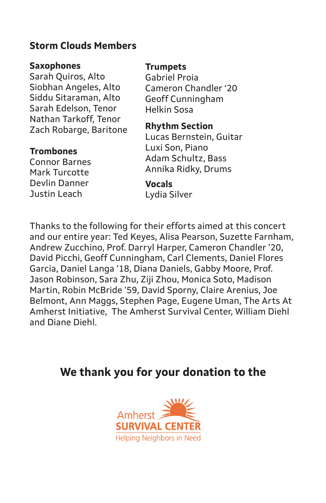### **Storm Clouds Members**

#### **Saxophones**

Sarah Quiros, Alto Siobhan Angeles, Alto Siddu Sitaraman, Alto Sarah Edelson, Tenor Nathan Tarkoff, Tenor Zach Robarge, Baritone

### **Trombones**

Connor Barnes Mark Turcotte Devlin Danner Justin Leach

#### **Trumpets**

Gabriel Proia Cameron Chandler '20 Geoff Cunningham Helkin Sosa

#### **Rhythm Section**

Lucas Bernstein, Guitar Luxi Son, Piano Adam Schultz, Bass Annika Ridky, Drums

# **Vocals**

Lydia Silver

Thanks to the following for their efforts aimed at this concert and our entire year: Ted Keyes, Alisa Pearson, Suzette Farnham, Andrew Zucchino, Prof. Darryl Harper, Cameron Chandler '20, David Picchi, Geoff Cunningham, Carl Clements, Daniel Flores Garcia, Daniel Langa '18, Diana Daniels, Gabby Moore, Prof. Jason Robinson, Sara Zhu, Ziji Zhou, Monica Soto, Madison Martin, Robin McBride '59, David Sporny, Claire Arenius, Joe Belmont, Ann Maggs, Stephen Page, Eugene Uman, The Arts At Amherst Initiative, The Amherst Survival Center, William Diehl and Diane Diehl.

# **We thank you for your donation to the**

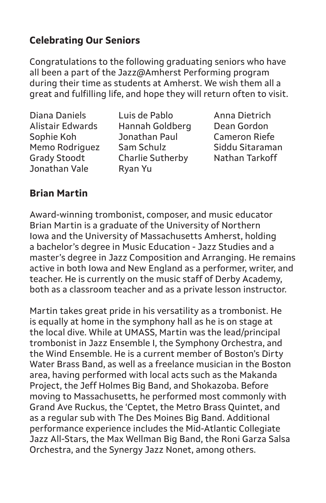## **Celebrating Our Seniors**

Congratulations to the following graduating seniors who have all been a part of the Jazz@Amherst Performing program during their time as students at Amherst. We wish them all a great and fulfilling life, and hope they will return often to visit.

Jonathan Vale Ryan Yu

Diana Daniels Luis de Pablo Anna Dietrich Alistair Edwards Hannah Goldberg Dean Gordon Sophie Koh Jonathan Paul Cameron Riefe Memo Rodriguez Sam Schulz Siddu Sitaraman Grady Stoodt Charlie Sutherby Nathan Tarkoff

### **Brian Martin**

Award-winning trombonist, composer, and music educator Brian Martin is a graduate of the University of Northern Iowa and the University of Massachusetts Amherst, holding a bachelor's degree in Music Education - Jazz Studies and a master's degree in Jazz Composition and Arranging. He remains active in both Iowa and New England as a performer, writer, and teacher. He is currently on the music staff of Derby Academy, both as a classroom teacher and as a private lesson instructor.

Martin takes great pride in his versatility as a trombonist. He is equally at home in the symphony hall as he is on stage at the local dive. While at UMASS, Martin was the lead/principal trombonist in Jazz Ensemble I, the Symphony Orchestra, and the Wind Ensemble. He is a current member of Boston's Dirty Water Brass Band, as well as a freelance musician in the Boston area, having performed with local acts such as the Makanda Project, the Jeff Holmes Big Band, and Shokazoba. Before moving to Massachusetts, he performed most commonly with Grand Ave Ruckus, the 'Ceptet, the Metro Brass Quintet, and as a regular sub with The Des Moines Big Band. Additional performance experience includes the Mid-Atlantic Collegiate Jazz All-Stars, the Max Wellman Big Band, the Roni Garza Salsa Orchestra, and the Synergy Jazz Nonet, among others.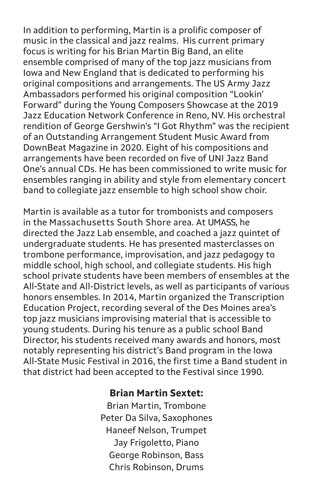In addition to performing, Martin is a prolific composer of music in the classical and jazz realms. His current primary focus is writing for his Brian Martin Big Band, an elite ensemble comprised of many of the top jazz musicians from Iowa and New England that is dedicated to performing his original compositions and arrangements. The US Army Jazz Ambassadors performed his original composition "Lookin' Forward" during the Young Composers Showcase at the 2019 Jazz Education Network Conference in Reno, NV. His orchestral rendition of George Gershwin's "I Got Rhythm" was the recipient of an Outstanding Arrangement Student Music Award from DownBeat Magazine in 2020. Eight of his compositions and arrangements have been recorded on five of UNI Jazz Band One's annual CDs. He has been commissioned to write music for ensembles ranging in ability and style from elementary concert band to collegiate jazz ensemble to high school show choir.

Martin is available as a tutor for trombonists and composers in the Massachusetts South Shore area. At UMASS, he directed the Jazz Lab ensemble, and coached a jazz quintet of undergraduate students. He has presented masterclasses on trombone performance, improvisation, and jazz pedagogy to middle school, high school, and collegiate students. His high school private students have been members of ensembles at the All-State and All-District levels, as well as participants of various honors ensembles. In 2014, Martin organized the Transcription Education Project, recording several of the Des Moines area's top jazz musicians improvising material that is accessible to young students. During his tenure as a public school Band Director, his students received many awards and honors, most notably representing his district's Band program in the Iowa All-State Music Festival in 2016, the first time a Band student in that district had been accepted to the Festival since 1990.

### **Brian Martin Sextet:**

Brian Martin, Trombone Peter Da Silva, Saxophones Haneef Nelson, Trumpet Jay Frigoletto, Piano George Robinson, Bass Chris Robinson, Drums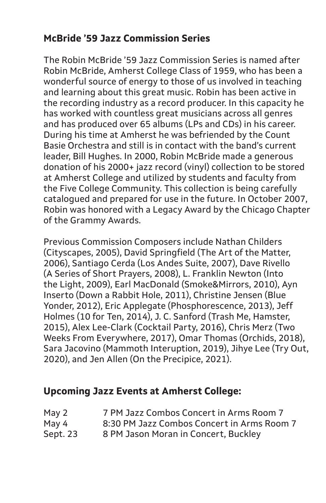## **McBride '59 Jazz Commission Series**

The Robin McBride '59 Jazz Commission Series is named after Robin McBride, Amherst College Class of 1959, who has been a wonderful source of energy to those of us involved in teaching and learning about this great music. Robin has been active in the recording industry as a record producer. In this capacity he has worked with countless great musicians across all genres and has produced over 65 albums (LPs and CDs) in his career. During his time at Amherst he was befriended by the Count Basie Orchestra and still is in contact with the band's current leader, Bill Hughes. In 2000, Robin McBride made a generous donation of his 2000+ jazz record (vinyl) collection to be stored at Amherst College and utilized by students and faculty from the Five College Community. This collection is being carefully catalogued and prepared for use in the future. In October 2007, Robin was honored with a Legacy Award by the Chicago Chapter of the Grammy Awards.

Previous Commission Composers include Nathan Childers (Cityscapes, 2005), David Springfield (The Art of the Matter, 2006), Santiago Cerda (Los Andes Suite, 2007), Dave Rivello (A Series of Short Prayers, 2008), L. Franklin Newton (Into the Light, 2009), Earl MacDonald (Smoke&Mirrors, 2010), Ayn Inserto (Down a Rabbit Hole, 2011), Christine Jensen (Blue Yonder, 2012), Eric Applegate (Phosphorescence, 2013), Jeff Holmes (10 for Ten, 2014), J. C. Sanford (Trash Me, Hamster, 2015), Alex Lee-Clark (Cocktail Party, 2016), Chris Merz (Two Weeks From Everywhere, 2017), Omar Thomas (Orchids, 2018), Sara Jacovino (Mammoth Interuption, 2019), Jihye Lee (Try Out, 2020), and Jen Allen (On the Precipice, 2021).

### **Upcoming Jazz Events at Amherst College:**

| May 2    | 7 PM Jazz Combos Concert in Arms Room 7    |
|----------|--------------------------------------------|
| May 4    | 8:30 PM Jazz Combos Concert in Arms Room 7 |
| Sept. 23 | 8 PM Jason Moran in Concert, Buckley       |